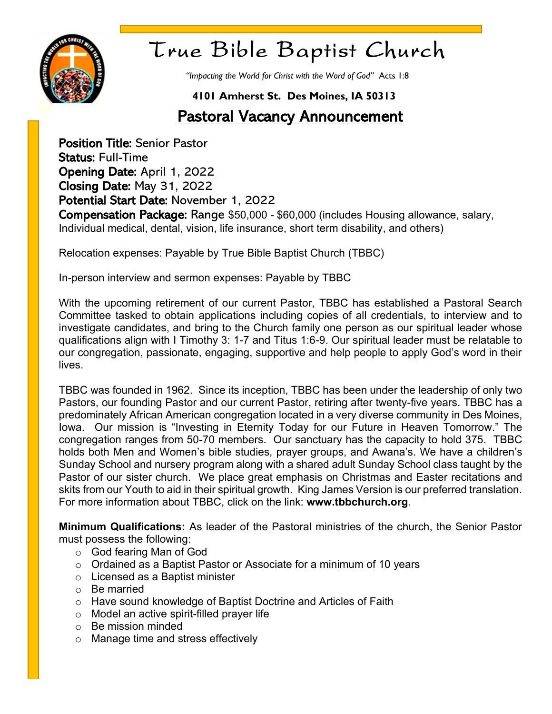

# True Bible Baptist Church

*"Impacting the World for Christ with the Word of God"* Acts 1:8

### **4101 Amherst St. Des Moines, IA 50313**

## **Pastoral Vacancy Announcement**

Position Title: Senior Pastor Status: Full-Time Opening Date: April 1, 2022 Closing Date: May 31, 2022 Potential Start Date: November 1, 2022 Compensation Package: Range \$50,000 - \$60,000 (includes Housing allowance, salary, Individual medical, dental, vision, life insurance, short term disability, and others)

Relocation expenses: Payable by True Bible Baptist Church (TBBC)

In-person interview and sermon expenses: Payable by TBBC

With the upcoming retirement of our current Pastor, TBBC has established a Pastoral Search Committee tasked to obtain applications including copies of all credentials, to interview and to investigate candidates, and bring to the Church family one person as our spiritual leader whose qualifications align with I Timothy 3: 1-7 and Titus 1:6-9. Our spiritual leader must be relatable to our congregation, passionate, engaging, supportive and help people to apply God's word in their lives.

TBBC was founded in 1962. Since its inception, TBBC has been under the leadership of only two Pastors, our founding Pastor and our current Pastor, retiring after twenty-five years. TBBC has a predominately African American congregation located in a very diverse community in Des Moines, Iowa. Our mission is "Investing in Eternity Today for our Future in Heaven Tomorrow." The congregation ranges from 50-70 members. Our sanctuary has the capacity to hold 375. TBBC holds both Men and Women's bible studies, prayer groups, and Awana's. We have a children's Sunday School and nursery program along with a shared adult Sunday School class taught by the Pastor of our sister church. We place great emphasis on Christmas and Easter recitations and skits from our Youth to aid in their spiritual growth. King James Version is our preferred translation. For more information about TBBC, click on the link: **www.tbbchurch.org**.

**Minimum Qualifications:** As leader of the Pastoral ministries of the church, the Senior Pastor must possess the following:

- o God fearing Man of God
- o Ordained as a Baptist Pastor or Associate for a minimum of 10 years
- o Licensed as a Baptist minister
- o Be married
- o Have sound knowledge of Baptist Doctrine and Articles of Faith
- o Model an active spirit-filled prayer life
- $\circ$  Be mission minded
- o Manage time and stress effectively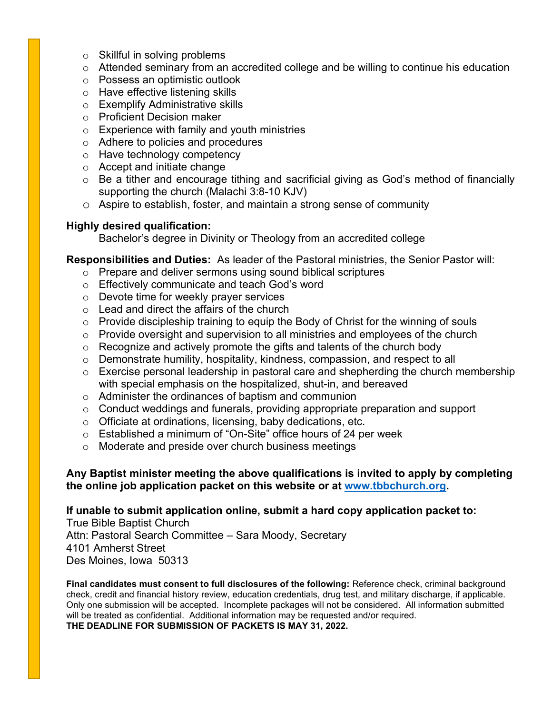- $\circ$  Skillful in solving problems
- o Attended seminary from an accredited college and be willing to continue his education
- o Possess an optimistic outlook
- o Have effective listening skills
- o Exemplify Administrative skills
- o Proficient Decision maker
- o Experience with family and youth ministries
- o Adhere to policies and procedures
- o Have technology competency
- o Accept and initiate change
- o Be a tither and encourage tithing and sacrificial giving as God's method of financially supporting the church (Malachi 3:8-10 KJV)
- o Aspire to establish, foster, and maintain a strong sense of community

### **Highly desired qualification:**

Bachelor's degree in Divinity or Theology from an accredited college

### **Responsibilities and Duties:** As leader of the Pastoral ministries, the Senior Pastor will:

- o Prepare and deliver sermons using sound biblical scriptures
- o Effectively communicate and teach God's word
- o Devote time for weekly prayer services
- $\circ$  Lead and direct the affairs of the church
- $\circ$  Provide discipleship training to equip the Body of Christ for the winning of souls
- o Provide oversight and supervision to all ministries and employees of the church
- o Recognize and actively promote the gifts and talents of the church body
- o Demonstrate humility, hospitality, kindness, compassion, and respect to all
- o Exercise personal leadership in pastoral care and shepherding the church membership with special emphasis on the hospitalized, shut-in, and bereaved
- o Administer the ordinances of baptism and communion
- $\circ$  Conduct weddings and funerals, providing appropriate preparation and support
- o Officiate at ordinations, licensing, baby dedications, etc.
- o Established a minimum of "On-Site" office hours of 24 per week
- o Moderate and preside over church business meetings

### **Any Baptist minister meeting the above qualifications is invited to apply by completing the online job application packet on this website or at [www.tbbchurch.org.](file:///C:/Users/Bert/Documents/TBBC/TBBC%20Online%20Presentation/PSC/www.tbbchurch.org)**

### **If unable to submit application online, submit a hard copy application packet to:**

True Bible Baptist Church Attn: Pastoral Search Committee – Sara Moody, Secretary 4101 Amherst Street Des Moines, Iowa 50313

**Final candidates must consent to full disclosures of the following:** Reference check, criminal background check, credit and financial history review, education credentials, drug test, and military discharge, if applicable. Only one submission will be accepted. Incomplete packages will not be considered. All information submitted will be treated as confidential. Additional information may be requested and/or required. **THE DEADLINE FOR SUBMISSION OF PACKETS IS MAY 31, 2022.**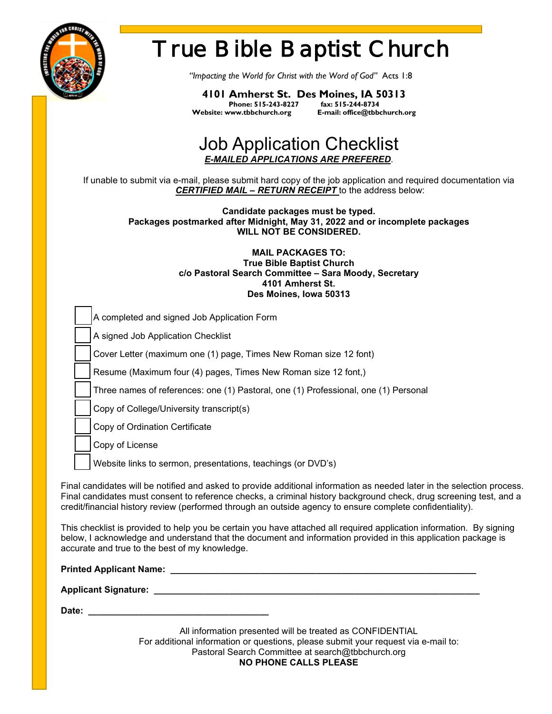

**Date: \_\_\_\_\_\_\_\_\_\_\_\_\_\_\_\_\_\_\_\_\_\_\_\_\_\_\_\_\_\_\_\_\_\_\_\_**

# True Bible Baptist Church

*"Impacting the World for Christ with the Word of God"* Acts 1:8

**4101 Amherst St. Des Moines, IA 50313 Phone: 515-243-8227<br>Website: www.tbbchurch.org Website: www.tbbchurch.org E-mail: office@tbbchurch.org**

### Job Application Checklist *E-MAILED APPLICATIONS ARE PREFERED*.

If unable to submit via e-mail, please submit hard copy of the job application and required documentation via *CERTIFIED MAIL – RETURN RECEIPT* to the address below:

**Candidate packages must be typed. Packages postmarked after Midnight, May 31, 2022 and or incomplete packages WILL NOT BE CONSIDERED.** 

> **MAIL PACKAGES TO: True Bible Baptist Church c/o Pastoral Search Committee – Sara Moody, Secretary 4101 Amherst St. Des Moines, Iowa 50313**

| A completed and signed Job Application Form                                                                                                                                                                                                                                                                                                                |
|------------------------------------------------------------------------------------------------------------------------------------------------------------------------------------------------------------------------------------------------------------------------------------------------------------------------------------------------------------|
| A signed Job Application Checklist                                                                                                                                                                                                                                                                                                                         |
| Cover Letter (maximum one (1) page, Times New Roman size 12 font)                                                                                                                                                                                                                                                                                          |
| Resume (Maximum four (4) pages, Times New Roman size 12 font,)                                                                                                                                                                                                                                                                                             |
| Three names of references: one (1) Pastoral, one (1) Professional, one (1) Personal                                                                                                                                                                                                                                                                        |
| Copy of College/University transcript(s)                                                                                                                                                                                                                                                                                                                   |
| Copy of Ordination Certificate                                                                                                                                                                                                                                                                                                                             |
| Copy of License                                                                                                                                                                                                                                                                                                                                            |
| Website links to sermon, presentations, teachings (or DVD's)                                                                                                                                                                                                                                                                                               |
| Final candidates will be notified and asked to provide additional information as needed later in the selection process.<br>Final candidates must consent to reference checks, a criminal history background check, drug screening test, and a<br>credit/financial history review (performed through an outside agency to ensure complete confidentiality). |
|                                                                                                                                                                                                                                                                                                                                                            |

This checklist is provided to help you be certain you have attached all required application information. By signing below, I acknowledge and understand that the document and information provided in this application package is accurate and true to the best of my knowledge.

| <b>Printed Applicant Name:</b> |  |
|--------------------------------|--|
| <b>Applicant Signature:</b>    |  |

All information presented will be treated as CONFIDENTIAL For additional information or questions, please submit your request via e-mail to: Pastoral Search Committee at search@tbbchurch.org **NO PHONE CALLS PLEASE**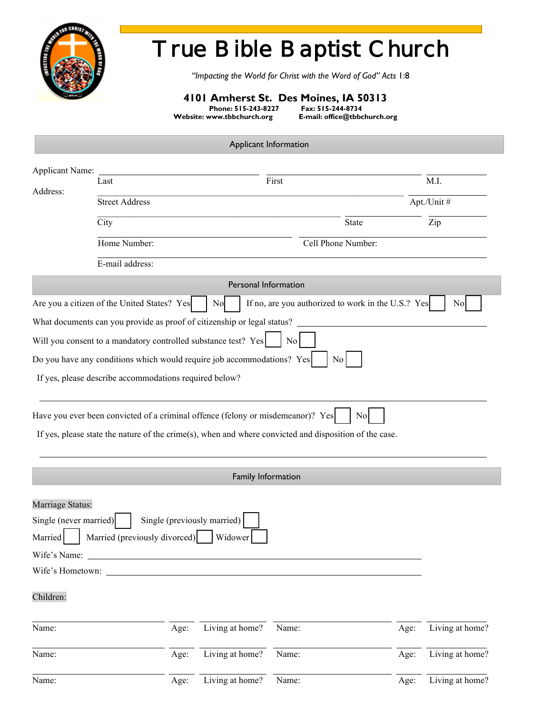

# True Bible Baptist Church

*"Impacting the World for Christ with the Word of God" Acts* 1:8

### **4101 Amherst St. Des Moines, IA 50313**

**Phone: 515-243-8227 Fax: 515-244-8734**

Website: www.tbbchurch.org

Applicant Information

| <b>Applicant Name:</b> |                                                                         | First<br>Last      |                             |                                                    |       |      | M.I.            |  |
|------------------------|-------------------------------------------------------------------------|--------------------|-----------------------------|----------------------------------------------------|-------|------|-----------------|--|
| Address:               | <b>Street Address</b>                                                   |                    |                             |                                                    |       |      |                 |  |
|                        |                                                                         |                    |                             |                                                    |       |      | Apt./Unit #     |  |
|                        | City                                                                    |                    |                             |                                                    | State |      | Zip             |  |
|                        | Home Number:                                                            | Cell Phone Number: |                             |                                                    |       |      |                 |  |
|                        | E-mail address:                                                         |                    |                             |                                                    |       |      |                 |  |
|                        |                                                                         |                    | Personal Information        |                                                    |       |      |                 |  |
|                        | Are you a citizen of the United States? Yes                             |                    | No                          | If no, are you authorized to work in the U.S.? Yes |       |      | No              |  |
|                        | What documents can you provide as proof of citizenship or legal status? |                    |                             |                                                    |       |      |                 |  |
|                        | Will you consent to a mandatory controlled substance test? Yes          |                    |                             | $\overline{N}$ o                                   |       |      |                 |  |
|                        | Do you have any conditions which would require job accommodations? Yes  |                    |                             |                                                    | No    |      |                 |  |
|                        | If yes, please describe accommodations required below?                  |                    |                             |                                                    |       |      |                 |  |
|                        |                                                                         |                    |                             |                                                    |       |      |                 |  |
|                        |                                                                         |                    |                             |                                                    |       |      |                 |  |
|                        |                                                                         |                    | Family Information          |                                                    |       |      |                 |  |
| Marriage Status:       |                                                                         |                    |                             |                                                    |       |      |                 |  |
| Single (never married) |                                                                         |                    | Single (previously married) |                                                    |       |      |                 |  |
| Married                | Married (previously divorced)                                           |                    | Widower                     |                                                    |       |      |                 |  |
| Wife's Name:           |                                                                         |                    |                             |                                                    |       |      |                 |  |
| Wife's Hometown:       |                                                                         |                    |                             |                                                    |       |      |                 |  |
| Children:              |                                                                         |                    |                             |                                                    |       |      |                 |  |
|                        |                                                                         |                    |                             |                                                    |       |      |                 |  |
| Name:                  |                                                                         | Age:               | Living at home?             | Name:                                              |       | Age: | Living at home? |  |
| Name:                  |                                                                         | Age:               | Living at home?             | Name:                                              |       | Age: | Living at home? |  |
| Name:                  |                                                                         | Age:               | Living at home?             | Name:                                              |       | Age: | Living at home? |  |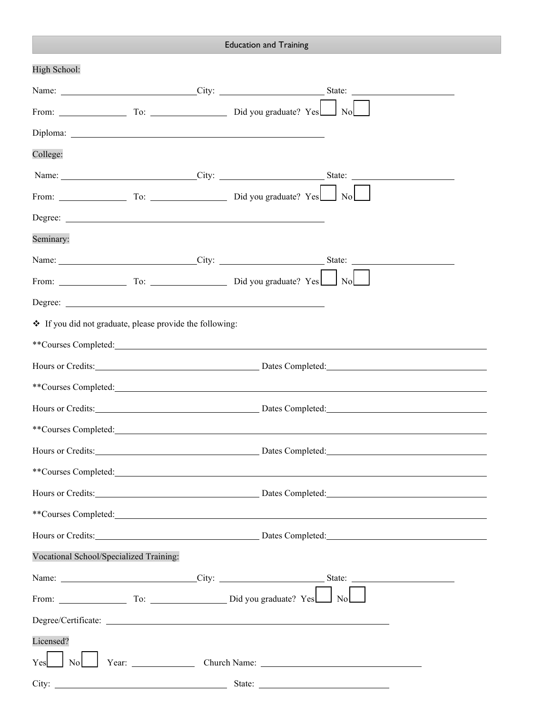|                                                                     |                                                                                                                                                                                                                                      | <b>Education and Training</b>                                        |  |  |
|---------------------------------------------------------------------|--------------------------------------------------------------------------------------------------------------------------------------------------------------------------------------------------------------------------------------|----------------------------------------------------------------------|--|--|
| High School:                                                        |                                                                                                                                                                                                                                      |                                                                      |  |  |
|                                                                     |                                                                                                                                                                                                                                      |                                                                      |  |  |
|                                                                     |                                                                                                                                                                                                                                      |                                                                      |  |  |
|                                                                     |                                                                                                                                                                                                                                      |                                                                      |  |  |
| College:                                                            |                                                                                                                                                                                                                                      |                                                                      |  |  |
|                                                                     |                                                                                                                                                                                                                                      | Name: City: City: State: State: City:                                |  |  |
|                                                                     |                                                                                                                                                                                                                                      | From: To: To: Did you graduate? Yes No                               |  |  |
|                                                                     | Degree: <u>New York: New York: New York: New York: New York: New York: New York: New York: New York: New York: New York: New York: New York: New York: New York: New York: New York: New York: New York: New York: New York: New</u> |                                                                      |  |  |
| Seminary:                                                           |                                                                                                                                                                                                                                      |                                                                      |  |  |
|                                                                     |                                                                                                                                                                                                                                      |                                                                      |  |  |
|                                                                     |                                                                                                                                                                                                                                      |                                                                      |  |  |
|                                                                     |                                                                                                                                                                                                                                      |                                                                      |  |  |
|                                                                     | ❖ If you did not graduate, please provide the following:                                                                                                                                                                             |                                                                      |  |  |
|                                                                     |                                                                                                                                                                                                                                      | **Courses Completed:                                                 |  |  |
|                                                                     |                                                                                                                                                                                                                                      |                                                                      |  |  |
|                                                                     |                                                                                                                                                                                                                                      | **Courses Completed:                                                 |  |  |
|                                                                     |                                                                                                                                                                                                                                      |                                                                      |  |  |
|                                                                     |                                                                                                                                                                                                                                      |                                                                      |  |  |
|                                                                     |                                                                                                                                                                                                                                      | Hours or Credits: <u>New York: Dates Completed:</u> Dates Completed: |  |  |
|                                                                     |                                                                                                                                                                                                                                      | **Courses Completed:                                                 |  |  |
| Hours or Credits: <u>New York: Dates Completed:</u> Completed: 2014 |                                                                                                                                                                                                                                      |                                                                      |  |  |
|                                                                     |                                                                                                                                                                                                                                      |                                                                      |  |  |
|                                                                     |                                                                                                                                                                                                                                      | Hours or Credits: Dates Completed: Dates Completed:                  |  |  |
| Vocational School/Specialized Training:                             |                                                                                                                                                                                                                                      |                                                                      |  |  |
|                                                                     |                                                                                                                                                                                                                                      | Name: City: City: State: State: City:                                |  |  |
|                                                                     |                                                                                                                                                                                                                                      |                                                                      |  |  |
|                                                                     |                                                                                                                                                                                                                                      |                                                                      |  |  |
| Licensed?                                                           |                                                                                                                                                                                                                                      |                                                                      |  |  |
|                                                                     |                                                                                                                                                                                                                                      |                                                                      |  |  |
|                                                                     |                                                                                                                                                                                                                                      |                                                                      |  |  |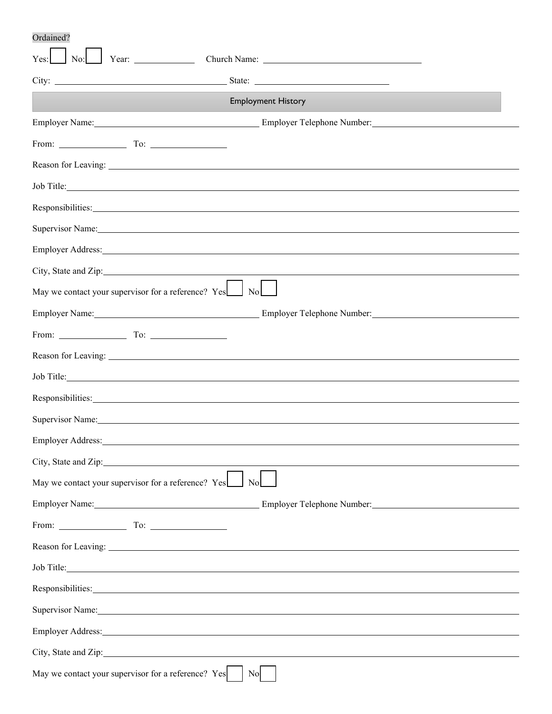Ordained?

| $\text{No:}$ Year:                                                                                                                                                                                                             |                                                                                                                                                                                                                                |
|--------------------------------------------------------------------------------------------------------------------------------------------------------------------------------------------------------------------------------|--------------------------------------------------------------------------------------------------------------------------------------------------------------------------------------------------------------------------------|
|                                                                                                                                                                                                                                |                                                                                                                                                                                                                                |
|                                                                                                                                                                                                                                | <b>Employment History</b>                                                                                                                                                                                                      |
|                                                                                                                                                                                                                                | Employer Name: Compare Compared the Employer Telephone Number:                                                                                                                                                                 |
| From: To: To:                                                                                                                                                                                                                  |                                                                                                                                                                                                                                |
|                                                                                                                                                                                                                                |                                                                                                                                                                                                                                |
| Job Title: North and the same state of the same state of the same state of the same state of the same state of the same state of the same state of the same state of the same state of the same state of the same state of the |                                                                                                                                                                                                                                |
|                                                                                                                                                                                                                                | Responsibilities: Nesponsibilities: Nesponsibilities: Nesponsibilities: Nesponsibilities: Nesponsibilities: Nesponsibilities: Nesponsibilities: Nesponsibilities: Nesponsibilities: Nesponsibilities: Nesponsibilities: Nespon |
|                                                                                                                                                                                                                                | Supervisor Name: Name: Name: Name: Name: Name: Name: Name: Name: Name: Name: Name: Name: Name: Name: Name: Name: Name: Name: Name: Name: Name: Name: Name: Name: Name: Name: Name: Name: Name: Name: Name: Name: Name: Name: N |
|                                                                                                                                                                                                                                |                                                                                                                                                                                                                                |
|                                                                                                                                                                                                                                | City, State and Zip:                                                                                                                                                                                                           |
| May we contact your supervisor for a reference? Yes<br>No                                                                                                                                                                      |                                                                                                                                                                                                                                |
|                                                                                                                                                                                                                                |                                                                                                                                                                                                                                |
| From: $\qquad \qquad \text{To:}$                                                                                                                                                                                               |                                                                                                                                                                                                                                |
|                                                                                                                                                                                                                                |                                                                                                                                                                                                                                |
|                                                                                                                                                                                                                                | Job Title: No. 2016. The Company of the Company of the Company of the Company of the Company of the Company of the Company of the Company of the Company of the Company of the Company of the Company of the Company of the Co |
| Responsibilities: Network of the Contract of the Contract of the Contract of the Contract of the Contract of the Contract of the Contract of the Contract of the Contract of the Contract of the Contract of the Contract of t |                                                                                                                                                                                                                                |
|                                                                                                                                                                                                                                | Supervisor Name: Name: Name: Name: Name: Name: Name: Name: Name: Name: Name: Name: Name: Name: Name: Name: Name: Name: Name: Name: Name: Name: Name: Name: Name: Name: Name: Name: Name: Name: Name: Name: Name: Name: Name: N |
| Employer Address: No. 2014 19:30:00 12:30:00 12:30:00 12:30:00 12:30:00 12:30:00 12:30:00 12:30:00 12:30:00 12:30:00 12:30:00 12:30:00 12:30:00 12:30:00 12:30:00 12:30:00 12:30:00 12:30:00 12:30:00 12:30:00 12:30:00 12:30: |                                                                                                                                                                                                                                |
| City, State and Zip: 1997                                                                                                                                                                                                      |                                                                                                                                                                                                                                |
| May we contact your supervisor for a reference? Yes No                                                                                                                                                                         |                                                                                                                                                                                                                                |
|                                                                                                                                                                                                                                | Employer Name: Compare Compared the Employer Telephone Number: Compare Compared the Employer Telephone Number:                                                                                                                 |
| From: $\qquad \qquad$ To: $\qquad \qquad$                                                                                                                                                                                      |                                                                                                                                                                                                                                |
|                                                                                                                                                                                                                                |                                                                                                                                                                                                                                |
|                                                                                                                                                                                                                                | Job Title: New York: New York: New York: New York: New York: New York: New York: New York: New York: New York: New York: New York: New York: New York: New York: New York: New York: New York: New York: New York: New York: N |
|                                                                                                                                                                                                                                | Responsibilities: Network of the contract of the contract of the contract of the contract of the contract of the contract of the contract of the contract of the contract of the contract of the contract of the contract of t |
|                                                                                                                                                                                                                                | Supervisor Name: Name and Supervisor Name and Supervisor Name and Supervisor Name and Supervisor Name and Supervisor Name and Supervisor Name and Supervisor Name and Supervisor Name and Supervisor Name and Supervisor Name  |
|                                                                                                                                                                                                                                | Employer Address: No. 2016. The Contract of the Contract of the Contract of the Contract of the Contract of the Contract of the Contract of the Contract of the Contract of the Contract of the Contract of the Contract of th |
| City, State and Zip: The Contract of the Contract of the Contract of the Contract of the Contract of the Contract of the Contract of the Contract of the Contract of the Contract of the Contract of the Contract of the Contr |                                                                                                                                                                                                                                |
| May we contact your supervisor for a reference? Yes                                                                                                                                                                            | No                                                                                                                                                                                                                             |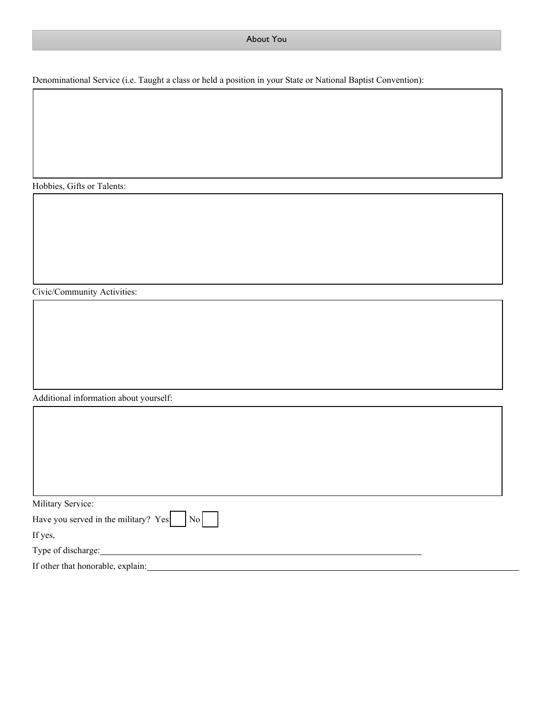#### About You

Denominational Service (i.e. Taught a class or held a position in your State or National Baptist Convention):

Hobbies, Gifts or Talents:

Civic/Community Activities:

Additional information about yourself:

| Military Service:                               |  |
|-------------------------------------------------|--|
| Have you served in the military? $Yes$ $  No  $ |  |
| If yes,                                         |  |
| Type of discharge:                              |  |
| If other that honorable, explain:               |  |